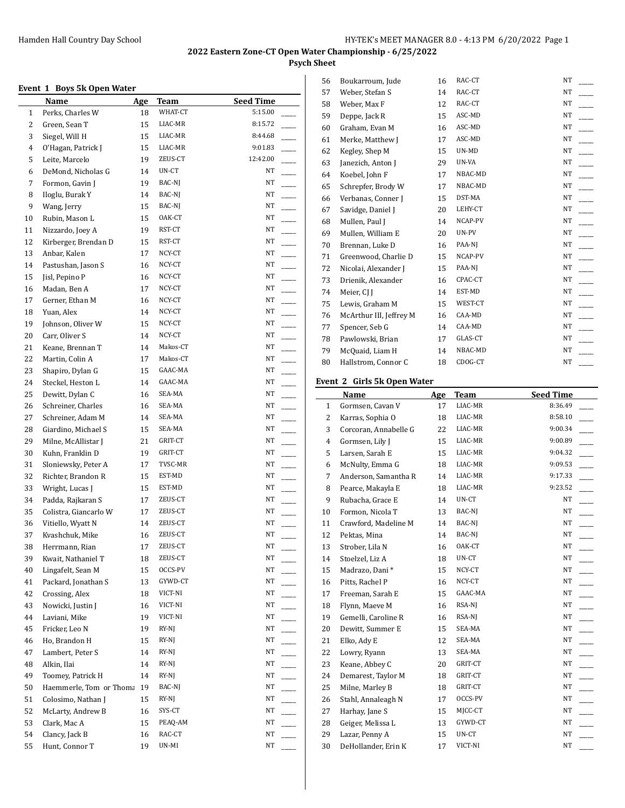**Psych Sheet**

# **Event 1 Boys 5k Open Water**

|                | етене 1 друз эк брен water |            |             |                  |
|----------------|----------------------------|------------|-------------|------------------|
|                | <b>Name</b>                | <u>Age</u> | <b>Team</b> | <b>Seed Time</b> |
| $\mathbf{1}$   | Perks, Charles W           | 18         | WHAT-CT     | 5:15.00          |
| $\overline{c}$ | Green, Sean T              | 15         | LIAC-MR     | 8:15.72          |
| 3              | Siegel, Will H             | 15         | LIAC-MR     | 8:44.68          |
| 4              | O'Hagan, Patrick J         | 15         | LIAC-MR     | 9:01.83          |
| 5              | Leite, Marcelo             | 19         | ZEUS-CT     | 12:42.00         |
| 6              | DeMond, Nicholas G         | 14         | UN-CT       | NT               |
| 7              | Formon, Gavin J            | 19         | BAC-NJ      | NT               |
| 8              | Iloglu, Burak Y            | 14         | BAC-NJ      | NT               |
| 9              | Wang, Jerry                | 15         | BAC-NJ      | NT               |
| 10             | Rubin, Mason L             | 15         | OAK-CT      | NT               |
| 11             | Nizzardo, Joey A           | 19         | RST-CT      | NT               |
| 12             | Kirberger, Brendan D       | 15         | RST-CT      | NT               |
| 13             | Anbar, Kalen               | 17         | NCY-CT      | NT               |
| 14             | Pastushan, Jason S         | 16         | NCY-CT      | NΤ               |
| 15             | Jisl, Pepino P             | 16         | NCY-CT      | NT               |
| 16             | Madan, Ben A               | 17         | NCY-CT      | NT               |
| 17             | Gerner, Ethan M            | 16         | NCY-CT      | NT               |
| 18             | Yuan, Alex                 |            | NCY-CT      | NT               |
|                |                            | 14         | NCY-CT      | NT               |
| 19             | Johnson, Oliver W          | 15         |             |                  |
| 20             | Carr, Oliver S             | 14         | NCY-CT      | NΤ               |
| 21             | Keane, Brennan T           | 14         | Makos-CT    | NT               |
| 22             | Martin, Colin A            | 17         | Makos-CT    | NΤ               |
| 23             | Shapiro, Dylan G           | 15         | GAAC-MA     | NΤ               |
| 24             | Steckel, Heston L          | 14         | GAAC-MA     | NT               |
| 25             | Dewitt, Dylan C            | 16         | SEA-MA      | NΤ               |
| 26             | Schreiner, Charles         | 16         | SEA-MA      | NΤ               |
| 27             | Schreiner, Adam M          | 14         | SEA-MA      | NT               |
| 28             | Giardino, Michael S        | 15         | SEA-MA      | NT               |
| 29             | Milne, McAllistar J        | 21         | GRIT-CT     | NT               |
| 30             | Kuhn, Franklin D           | 19         | GRIT-CT     | NT               |
| 31             | Sloniewsky, Peter A        | 17         | TVSC-MR     | NT               |
| 32             | Richter, Brandon R         | 15         | EST-MD      | NΤ               |
| 33             | Wright, Lucas J            | 15         | EST-MD      | NΤ               |
| 34             | Padda, Rajkaran S          | 17         | ZEUS-CT     | NΤ               |
| 35             | Colistra, Giancarlo W      | 17         | ZEUS-CT     | NΤ               |
| 36             | Vitiello, Wyatt N          | 14         | ZEUS-CT     | NT               |
| 37             | Kvashchuk, Mike            | 16         | ZEUS-CT     | NT               |
| 38             | Herrmann, Rian             | 17         | ZEUS-CT     | NT               |
| 39             | Kwait, Nathaniel T         | 18         | ZEUS-CT     | NT               |
| 40             | Lingafelt, Sean M          | 15         | OCCS-PV     | NT               |
| 41             | Packard, Jonathan S        | 13         | GYWD-CT     | NT               |
| 42             | Crossing, Alex             | 18         | VICT-NI     | NT               |
| 43             | Nowicki, Justin J          | 16         | VICT-NI     | NT               |
| 44             | Laviani, Mike              | 19         | VICT-NI     | NT               |
| 45             | Fricker, Leo N             | 19         | $RY-NJ$     | NT               |
| 46             | Ho, Brandon H              | 15         | RY-NJ       | NT               |
|                | Lambert, Peter S           |            | RY-NJ       | NT               |
| 47<br>48       | Alkin, Ilai                | 14<br>14   | $RY-NI$     | NT               |
|                |                            |            | RY-NJ       | NT               |
| 49             | Toomey, Patrick H          | 14         |             |                  |
| 50             | Haemmerle, Tom or Thoma    | 19         | BAC-NJ      | NΤ               |
| 51             | Colosimo, Nathan J         | 15         | RY-NJ       | NT               |
| 52             | McLarty, Andrew B          | 16         | SYS-CT      | NT               |
| 53             | Clark, Mac A               | 15         | PEAQ-AM     | NΤ               |
| 54             | Clancy, Jack B             | 16         | RAC-CT      | NT               |
| 55             | Hunt, Connor T             | 19         | UN-MI       | NT               |

| 56 | Boukarroum, Jude        | 16 | RAC-CT  | <b>NT</b> |
|----|-------------------------|----|---------|-----------|
| 57 | Weber, Stefan S         | 14 | RAC-CT  | NT        |
| 58 | Weber, Max F            | 12 | RAC-CT  | NT        |
| 59 | Deppe, Jack R           | 15 | ASC-MD  | NT        |
| 60 | Graham, Evan M          | 16 | ASC-MD  | NT        |
| 61 | Merke, Matthew J        | 17 | ASC-MD  | NT        |
| 62 | Kegley, Shep M          | 15 | UN-MD   | NT        |
| 63 | Janezich, Anton J       | 29 | UN-VA   | NT        |
| 64 | Koebel, John F          | 17 | NBAC-MD | NT        |
| 65 | Schrepfer, Brody W      | 17 | NBAC-MD | NT        |
| 66 | Verbanas, Conner J      | 15 | DST-MA  | NT        |
| 67 | Savidge, Daniel J       | 20 | LEHY-CT | NT        |
| 68 | Mullen, Paul J          | 14 | NCAP-PV | NT.       |
| 69 | Mullen, William E       | 20 | UN-PV   | NT        |
| 70 | Brennan, Luke D         | 16 | PAA-NJ  | NT        |
| 71 | Greenwood, Charlie D    | 15 | NCAP-PV | NT        |
| 72 | Nicolai, Alexander J    | 15 | PAA-NJ  | NT        |
| 73 | Drienik, Alexander      | 16 | CPAC-CT | NT        |
| 74 | Meier, CJ J             | 14 | EST-MD  | NT        |
| 75 | Lewis, Graham M         | 15 | WEST-CT | NT        |
| 76 | McArthur III, Jeffrey M | 16 | CAA-MD  | NT        |
| 77 | Spencer, Seb G          | 14 | CAA-MD  | NT        |
| 78 | Pawlowski, Brian        | 17 | GLAS-CT | <b>NT</b> |
| 79 | McQuaid, Liam H         | 14 | NBAC-MD | <b>NT</b> |
| 80 | Hallstrom, Connor C     | 18 | CDOG-CT | <b>NT</b> |
|    |                         |    |         |           |

# **Event 2 Girls 5k Open Water**

|    | Name                  | Age | <b>Team</b> | <b>Seed Time</b> |
|----|-----------------------|-----|-------------|------------------|
| 1  | Gormsen, Cavan V      | 17  | LIAC-MR     | 8:36.49          |
| 2  | Karras, Sophia O      | 18  | LIAC-MR     | 8:58.10          |
| 3  | Corcoran, Annabelle G | 22  | LIAC-MR     | 9:00.34          |
| 4  | Gormsen, Lily J       | 15  | LIAC-MR     | 9:00.89          |
| 5  | Larsen, Sarah E       | 15  | LIAC-MR     | 9:04.32          |
| 6  | McNulty, Emma G       | 18  | LIAC-MR     | 9:09.53          |
| 7  | Anderson, Samantha R  | 14  | LIAC-MR     | 9:17.33          |
| 8  | Pearce, Makayla E     | 18  | LIAC-MR     | 9:23.52          |
| 9  | Rubacha, Grace E      | 14  | UN-CT       | NT               |
| 10 | Formon, Nicola T      | 13  | BAC-NJ      | NT               |
| 11 | Crawford, Madeline M  | 14  | BAC-NJ      | NT               |
| 12 | Pektas, Mina          | 14  | BAC-NJ      | NT               |
| 13 | Strober, Lila N       | 16  | OAK-CT      | NT               |
| 14 | Stoelzel, Liz A       | 18  | UN-CT       | NT               |
| 15 | Madrazo, Dani*        | 15  | NCY-CT      | NT               |
| 16 | Pitts, Rachel P       | 16  | NCY-CT      | NT               |
| 17 | Freeman, Sarah E      | 15  | GAAC-MA     | NT               |
| 18 | Flynn, Maeve M        | 16  | RSA-NJ      | NT               |
| 19 | Gemelli, Caroline R   | 16  | RSA-NJ      | <b>NT</b>        |
| 20 | Dewitt, Summer E      | 15  | SEA-MA      | NT               |
| 21 | Elko, Ady E           | 12  | SEA-MA      | NT               |
| 22 | Lowry, Ryann          | 13  | SEA-MA      | NT               |
| 23 | Keane, Abbey C        | 20  | GRIT-CT     | NT               |
| 24 | Demarest, Taylor M    | 18  | GRIT-CT     | NT               |
| 25 | Milne, Marley B       | 18  | GRIT-CT     | NT               |
| 26 | Stahl, Annaleagh N    | 17  | OCCS-PV     | NT               |
| 27 | Harhay, Jane S        | 15  | MJCC-CT     | NT               |
| 28 | Geiger, Melissa L     | 13  | GYWD-CT     | NT               |
| 29 | Lazar, Penny A        | 15  | UN-CT       | NT               |
| 30 | DeHollander, Erin K   | 17  | VICT-NI     | NT               |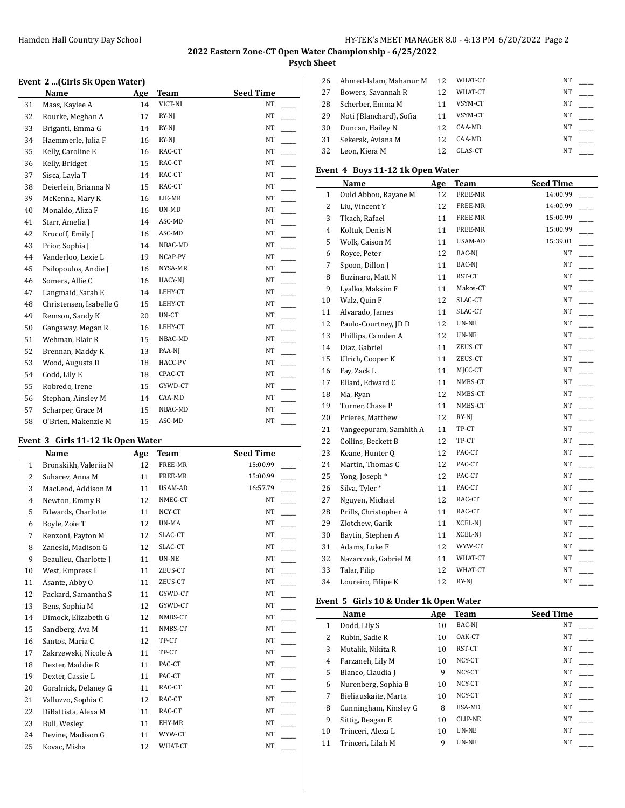#### Hamden Hall Country Day School **Hamden Hall Country Day School** Hy-TEK's MEET MANAGER 8.0 - 4:13 PM 6/20/2022 Page 2

# **2022 Eastern Zone-CT Open Water Championship - 6/25/2022**

# **Psych Sheet**  $\overline{1}$

#### **Event 2 ...(Girls 5k Open Water)**

|    | <b>Name</b>             | Age | <b>Team</b> | <b>Seed Time</b> |
|----|-------------------------|-----|-------------|------------------|
| 31 | Maas, Kaylee A          | 14  | VICT-NI     | NT               |
| 32 | Rourke, Meghan A        | 17  | RY-NJ       | NT               |
| 33 | Briganti, Emma G        | 14  | RY-NJ       | NT               |
| 34 | Haemmerle, Julia F      | 16  | $RY-NI$     | NT               |
| 35 | Kelly, Caroline E       | 16  | RAC-CT      | NT               |
| 36 | Kelly, Bridget          | 15  | RAC-CT      | NT               |
| 37 | Sisca, Layla T          | 14  | RAC-CT      | NT               |
| 38 | Deierlein, Brianna N    | 15  | RAC-CT      | NT               |
| 39 | McKenna, Mary K         | 16  | LIE-MR      | NT               |
| 40 | Monaldo, Aliza F        | 16  | UN-MD       | NT               |
| 41 | Starr, Amelia J         | 14  | ASC-MD      | NT               |
| 42 | Krucoff, Emily J        | 16  | ASC-MD      | NT               |
| 43 | Prior, Sophia J         | 14  | NBAC-MD     | NT               |
| 44 | Vanderloo, Lexie L      | 19  | NCAP-PV     | NT               |
| 45 | Psilopoulos, Andie J    | 16  | NYSA-MR     | NT               |
| 46 | Somers, Allie C         | 16  | HACY-NJ     | NT               |
| 47 | Langmaid, Sarah E       | 14  | LEHY-CT     | NT               |
| 48 | Christensen, Isabelle G | 15  | LEHY-CT     | NT               |
| 49 | Remson, Sandy K         | 20  | UN-CT       | NT               |
| 50 | Gangaway, Megan R       | 16  | LEHY-CT     | NT               |
| 51 | Wehman, Blair R         | 15  | NBAC-MD     | NT               |
| 52 | Brennan, Maddy K        | 13  | PAA-NJ      | NT               |
| 53 | Wood, Augusta D         | 18  | HACC-PV     | NT               |
| 54 | Codd, Lily E            | 18  | CPAC-CT     | NT               |
| 55 | Robredo, Irene          | 15  | GYWD-CT     | NT               |
| 56 | Stephan, Ainsley M      | 14  | CAA-MD      | NT               |
| 57 | Scharper, Grace M       | 15  | NBAC-MD     | NT               |
| 58 | O'Brien, Makenzie M     | 15  | ASC-MD      | NT               |

## **Event 3 Girls 11-12 1k Open Water**

|              | Name                  | Age | Team    | <b>Seed Time</b> |
|--------------|-----------------------|-----|---------|------------------|
| $\mathbf{1}$ | Bronskikh, Valeriia N | 12  | FREE-MR | 15:00.99         |
| 2            | Suharev, Anna M       | 11  | FREE-MR | 15:00.99         |
| 3            | MacLeod, Addison M    | 11  | USAM-AD | 16:57.79         |
| 4            | Newton, Emmy B        | 12  | NMEG-CT | NT               |
| 5            | Edwards, Charlotte    | 11  | NCY-CT  | NT               |
| 6            | Boyle, Zoie T         | 12  | UN-MA   | NT               |
| 7            | Renzoni, Payton M     | 12  | SLAC-CT | NT               |
| 8            | Zaneski, Madison G    | 12  | SLAC-CT | NT               |
| 9            | Beaulieu, Charlotte J | 11  | UN-NE   | NT               |
| 10           | West, Empress I       | 11  | ZEUS-CT | NT               |
| 11           | Asante, Abby O        | 11  | ZEUS-CT | NT               |
| 12           | Packard, Samantha S   | 11  | GYWD-CT | NT               |
| 13           | Bens, Sophia M        | 12  | GYWD-CT | NT               |
| 14           | Dimock, Elizabeth G   | 12  | NMBS-CT | NT               |
| 15           | Sandberg, Ava M       | 11  | NMBS-CT | NT               |
| 16           | Santos, Maria C       | 12  | TP-CT   | NT               |
| 17           | Zakrzewski, Nicole A  | 11  | TP-CT   | NT               |
| 18           | Dexter, Maddie R      | 11  | PAC-CT  | NT               |
| 19           | Dexter, Cassie L      | 11  | PAC-CT  | NT               |
| 20           | Goralnick, Delaney G  | 11  | RAC-CT  | NT               |
| 21           | Valluzzo, Sophia C    | 12  | RAC-CT  | NT               |
| 22           | DiBattista, Alexa M   | 11  | RAC-CT  | NT               |
| 23           | Bull, Wesley          | 11  | EHY-MR  | NT               |
| 24           | Devine, Madison G     | 11  | WYW-CT  | NT               |
| 25           | Kovac, Misha          | 12  | WHAT-CT | NT               |

| 26 | Ahmed-Islam, Mahanur M  | 12 | WHAT-CT | <b>NT</b> |  |
|----|-------------------------|----|---------|-----------|--|
| 27 | Bowers, Savannah R      |    | WHAT-CT | <b>NT</b> |  |
| 28 | Scherber, Emma M        |    | VSYM-CT | NΤ        |  |
| 29 | Noti (Blanchard), Sofia |    | VSYM-CT | <b>NT</b> |  |
| 30 | Duncan, Hailey N        |    | CAA-MD  | NΤ        |  |
| 31 | Sekerak, Aviana M       | 12 | CAA-MD  | NΤ        |  |
| 32 | Leon, Kiera M           |    | GLAS-CT | NΤ        |  |

## **Event 4 Boys 11-12 1k Open Water**

|              | Name                   | Age | <b>Team</b> | Seed Time |
|--------------|------------------------|-----|-------------|-----------|
| $\mathbf{1}$ | Ould Abbou, Rayane M   | 12  | FREE-MR     | 14:00.99  |
| 2            | Liu, Vincent Y         | 12  | FREE-MR     | 14:00.99  |
| 3            | Tkach, Rafael          | 11  | FREE-MR     | 15:00.99  |
| 4            | Koltuk, Denis N        | 11  | FREE-MR     | 15:00.99  |
| 5            | Wolk, Caison M         | 11  | USAM-AD     | 15:39.01  |
| 6            | Royce, Peter           | 12  | BAC-NJ      | NT        |
| 7            | Spoon, Dillon J        | 11  | BAC-NJ      | NT        |
| 8            | Buzinaro, Matt N       | 11  | RST-CT      | NT        |
| 9            | Lyalko, Maksim F       | 11  | Makos-CT    | $\rm{NT}$ |
| 10           | Walz, Quin F           | 12  | SLAC-CT     | $\rm{NT}$ |
| 11           | Alvarado, James        | 11  | SLAC-CT     | NT        |
| 12           | Paulo-Courtney, JD D   | 12  | UN-NE       | NΤ        |
| 13           | Phillips, Camden A     | 12  | UN-NE       | $\rm{NT}$ |
| 14           | Diaz, Gabriel          | 11  | ZEUS-CT     | NT        |
| 15           | Ulrich, Cooper K       | 11  | ZEUS-CT     | NT        |
| 16           | Fay, Zack L            | 11  | MJCC-CT     | NT        |
| 17           | Ellard, Edward C       | 11  | NMBS-CT     | NT        |
| 18           | Ma, Ryan               | 12  | NMBS-CT     | $\rm{NT}$ |
| 19           | Turner, Chase P        | 11  | NMBS-CT     | NT        |
| 20           | Prieres, Matthew       | 12  | RY-NJ       | $\rm{NT}$ |
| 21           | Vangeepuram, Samhith A | 11  | TP-CT       | NT        |
| 22           | Collins, Beckett B     | 12  | TP-CT       | NT        |
| 23           | Keane, Hunter Q        | 12  | PAC-CT      | $\rm{NT}$ |
| 24           | Martin, Thomas C       | 12  | PAC-CT      | NT        |
| 25           | Yong, Joseph*          | 12  | PAC-CT      | NT        |
| 26           | Silva, Tyler*          | 11  | PAC-CT      | $\rm{NT}$ |
| 27           | Nguyen, Michael        | 12  | RAC-CT      | NT        |
| 28           | Prills, Christopher A  | 11  | RAC-CT      | $\rm{NT}$ |
| 29           | Zlotchew, Garik        | 11  | XCEL-NJ     | NT        |
| 30           | Baytin, Stephen A      | 11  | XCEL-NJ     | NT        |
| 31           | Adams, Luke F          | 12  | WYW-CT      | NΤ        |
| 32           | Nazarczuk, Gabriel M   | 11  | WHAT-CT     | $\rm{NT}$ |
| 33           | Talar, Filip           | 12  | WHAT-CT     | NT        |
| 34           | Loureiro, Filipe K     | 12  | RY-NJ       | $\rm{NT}$ |

## **Event 5 Girls 10 & Under 1k Open Water**

|    | Name                  | Age | <b>Team</b>    | <b>Seed Time</b> |
|----|-----------------------|-----|----------------|------------------|
| 1  | Dodd, Lily S          | 10  | BAC-NJ         | NT               |
| 2  | Rubin, Sadie R        | 10  | OAK-CT         | NT               |
| 3  | Mutalik, Nikita R     | 10  | RST-CT         | NT               |
| 4  | Farzaneh, Lily M      | 10  | NCY-CT         | NT               |
| 5  | Blanco, Claudia J     | 9   | NCY-CT         | <b>NT</b>        |
| 6  | Nurenberg, Sophia B   | 10  | NCY-CT         | <b>NT</b>        |
| 7  | Bieliauskaite, Marta  | 10  | NCY-CT         | NT               |
| 8  | Cunningham, Kinsley G | 8   | ESA-MD         | <b>NT</b>        |
| 9  | Sittig, Reagan E      | 10  | <b>CLIP-NE</b> | NT               |
| 10 | Trinceri, Alexa L     | 10  | <b>UN-NE</b>   | NT               |
| 11 | Trinceri, Lilah M     | 9   | UN-NE          | <b>NT</b>        |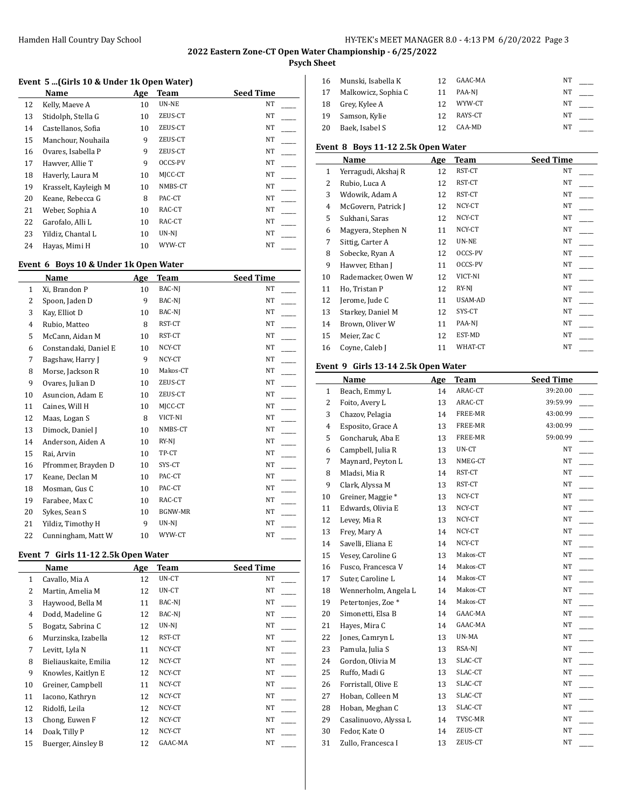**Psych Sheet**

#### **Event 5 ...(Girls 10 & Under 1k Open Water)**

| Name                 | Age | Team    | <b>Seed Time</b> |
|----------------------|-----|---------|------------------|
| Kelly, Maeve A       | 10  | UN-NE   | NT               |
| Stidolph, Stella G   | 10  | ZEUS-CT | NT               |
| Castellanos, Sofia   | 10  | ZEUS-CT | NT               |
| Manchour, Nouhaila   | 9   | ZEUS-CT | NT               |
| Ovares, Isabella P   | 9   | ZEUS-CT | NT               |
| Hawver, Allie T      | 9   | OCCS-PV | NT               |
| Haverly, Laura M     | 10  | MICC-CT | NT               |
| Krasselt, Kayleigh M | 10  | NMBS-CT | NT               |
| Keane, Rebecca G     | 8   | PAC-CT  | NT               |
| Weber, Sophia A      | 10  | RAC-CT  | NT               |
| Garofalo, Alli L     | 10  | RAC-CT  | NT               |
| Yildiz, Chantal L    | 10  | UN-NJ   | NT               |
| Hayas, Mimi H        | 10  | WYW-CT  | NT               |
|                      |     |         |                  |

## **Event 6 Boys 10 & Under 1k Open Water**

|    | Name                  | Age | <b>Team</b> | <b>Seed Time</b> |
|----|-----------------------|-----|-------------|------------------|
| 1  | Xi, Brandon P         | 10  | BAC-NJ      | NT               |
| 2  | Spoon, Jaden D        | 9   | BAC-NJ      | NT               |
| 3  | Kay, Elliot D         | 10  | BAC-NJ      | NT               |
| 4  | Rubio, Matteo         | 8   | RST-CT      | NT               |
| 5  | McCann, Aidan M       | 10  | RST-CT      | NT               |
| 6  | Constandaki, Daniel E | 10  | NCY-CT      | NT               |
| 7  | Bagshaw, Harry J      | 9   | NCY-CT      | NT               |
| 8  | Morse, Jackson R      | 10  | Makos-CT    | NT               |
| 9  | Ovares, Julian D      | 10  | ZEUS-CT     | NT               |
| 10 | Asuncion, Adam E      | 10  | ZEUS-CT     | NT               |
| 11 | Caines, Will H        | 10  | MJCC-CT     | NT               |
| 12 | Maas, Logan S         | 8   | VICT-NI     | NT               |
| 13 | Dimock, Daniel J      | 10  | NMBS-CT     | NT               |
| 14 | Anderson, Aiden A     | 10  | $RY-NI$     | NT               |
| 15 | Rai, Arvin            | 10  | TP-CT       | NT               |
| 16 | Pfrommer, Brayden D   | 10  | SYS-CT      | NT               |
| 17 | Keane, Declan M       | 10  | PAC-CT      | NT               |
| 18 | Mosman, Gus C         | 10  | PAC-CT      | NT               |
| 19 | Farabee, Max C        | 10  | RAC-CT      | NT               |
| 20 | Sykes, Sean S         | 10  | BGNW-MR     | NT               |
| 21 | Yildiz, Timothy H     | 9   | UN-NJ       | NT               |
| 22 | Cunningham, Matt W    | 10  | WYW-CT      | NT               |

#### **Event 7 Girls 11-12 2.5k Open Water**

|              | Name                  | Age | Team    | <b>Seed Time</b> |
|--------------|-----------------------|-----|---------|------------------|
| $\mathbf{1}$ | Cavallo, Mia A        | 12  | UN-CT   | NT               |
| 2            | Martin, Amelia M      | 12  | UN-CT   | NT               |
| 3            | Haywood, Bella M      | 11  | BAC-NJ  | NT               |
| 4            | Dodd, Madeline G      | 12  | BAC-NJ  | NT               |
| 5            | Bogatz, Sabrina C     | 12  | UN-NJ   | NT               |
| 6            | Murzinska, Izabella   | 12  | RST-CT  | NT               |
| 7            | Levitt, Lyla N        | 11  | NCY-CT  | NT               |
| 8            | Bieliauskaite, Emilia | 12  | NCY-CT  | NT               |
| 9            | Knowles, Kaitlyn E    | 12  | NCY-CT  | NT               |
| 10           | Greiner, Campbell     | 11  | NCY-CT  | NT               |
| 11           | Iacono, Kathryn       | 12  | NCY-CT  | NT               |
| 12           | Ridolfi, Leila        | 12  | NCY-CT  | NT               |
| 13           | Chong, Euwen F        | 12  | NCY-CT  | NT               |
| 14           | Doak, Tilly P         | 12  | NCY-CT  | NT               |
| 15           | Buerger, Ainsley B    | 12  | GAAC-MA | NT               |

| 16 | Munski, Isabella K  | 12 | GAAC-MA | NΤ |  |
|----|---------------------|----|---------|----|--|
| 17 | Malkowicz, Sophia C | 11 | PAA-NI  | NΤ |  |
| 18 | Grey, Kylee A       | 12 | WYW-CT  | NT |  |
| 19 | Samson, Kylie       | 12 | RAYS-CT | NT |  |
| 20 | Baek, Isabel S      |    | CAA-MD  | NΤ |  |

#### **Event 8 Boys 11-12 2.5k Open Water**

|              | Name                | Age | Team    | <b>Seed Time</b> |
|--------------|---------------------|-----|---------|------------------|
| $\mathbf{1}$ | Yerragudi, Akshaj R | 12  | RST-CT  | NΤ               |
| 2            | Rubio, Luca A       | 12  | RST-CT  | NΤ               |
| 3            | Wdowik, Adam A      | 12  | RST-CT  | NT               |
| 4            | McGovern, Patrick J | 12  | NCY-CT  | NT               |
| 5            | Sukhani, Saras      | 12  | NCY-CT  | NT               |
| 6            | Magyera, Stephen N  | 11  | NCY-CT  | NT               |
| 7            | Sittig, Carter A    | 12  | UN-NE   | NT.              |
| 8            | Sobecke, Ryan A     | 12  | OCCS-PV | NT               |
| 9            | Hawver, Ethan J     | 11  | OCCS-PV | NT               |
| 10           | Rademacker, Owen W  | 12  | VICT-NI | NT               |
| 11           | Ho, Tristan P       | 12  | $RY-NI$ | NT               |
| 12           | Jerome, Jude C      | 11  | USAM-AD | NT               |
| 13           | Starkey, Daniel M   | 12  | SYS-CT  | NT               |
| 14           | Brown, Oliver W     | 11  | PAA-NJ  | NT.              |
| 15           | Meier, Zac C        | 12  | EST-MD  | NT               |
| 16           | Coyne, Caleb J      | 11  | WHAT-CT | NT               |

#### **Event 9 Girls 13-14 2.5k Open Water**

|                | Name                         | Age | Team     | <b>Seed Time</b> |
|----------------|------------------------------|-----|----------|------------------|
| 1              | Beach, Emmy L                | 14  | ARAC-CT  | 39:20.00         |
| 2              | Foito, Avery L               | 13  | ARAC-CT  | 39:59.99         |
| 3              | Chazov, Pelagia              | 14  | FREE-MR  | 43:00.99         |
| $\overline{4}$ | Esposito, Grace A            | 13  | FREE-MR  | 43:00.99         |
| 5              | Goncharuk, Aba E             | 13  | FREE-MR  | 59:00.99         |
| 6              | Campbell, Julia R            | 13  | UN-CT    | NT               |
| 7              | Maynard, Peyton L            | 13  | NMEG-CT  | NΤ               |
| 8              | Mladsi, Mia R                | 14  | RST-CT   | NT               |
| 9              | Clark, Alyssa M              | 13  | RST-CT   | NT               |
| 10             | Greiner, Maggie <sup>*</sup> | 13  | NCY-CT   | NT               |
| 11             | Edwards, Olivia E            | 13  | NCY-CT   | <b>NT</b>        |
| 12             | Levey, Mia R                 | 13  | NCY-CT   | NT               |
| 13             | Frey, Mary A                 | 14  | NCY-CT   | NT               |
| 14             | Savelli, Eliana E            | 14  | NCY-CT   | NT               |
| 15             | Vesey, Caroline G            | 13  | Makos-CT | NT               |
| 16             | Fusco, Francesca V           | 14  | Makos-CT | NΤ               |
| 17             | Suter, Caroline L            | 14  | Makos-CT | NT               |
| 18             | Wennerholm, Angela L         | 14  | Makos-CT | NT               |
| 19             | Petertonjes, Zoe*            | 14  | Makos-CT | NT.              |
| 20             | Simonetti, Elsa B            | 14  | GAAC-MA  | NT               |
| 21             | Hayes, Mira C                | 14  | GAAC-MA  | NΤ               |
| 22             | Jones, Camryn L              | 13  | UN-MA    | NT               |
| 23             | Pamula, Julia S              | 13  | RSA-NJ   | <b>NT</b>        |
| 24             | Gordon, Olivia M             | 13  | SLAC-CT  | NΤ               |
| 25             | Ruffo, Madi G                | 13  | SLAC-CT  | NT               |
| 26             | Forristall, Olive E          | 13  | SLAC-CT  | NT               |
| 27             | Hoban, Colleen M             | 13  | SLAC-CT  | NT               |
| 28             | Hoban, Meghan C              | 13  | SLAC-CT  | NT               |
| 29             | Casalinuovo, Alyssa L        | 14  | TVSC-MR  | NT               |
| 30             | Fedor, Kate O                | 14  | ZEUS-CT  | NT               |
| 31             | Zullo, Francesca I           | 13  | ZEUS-CT  | <b>NT</b>        |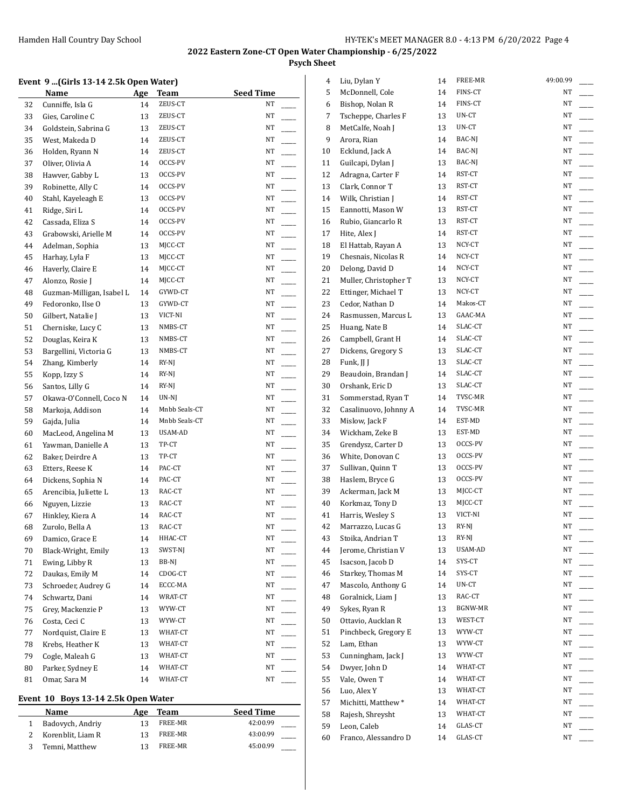# **Psych Sheet**

 $\overline{1}$ 

| Event 9 (Girls 13-14 2.5k Open Water) |  |  |  |  |  |
|---------------------------------------|--|--|--|--|--|
|---------------------------------------|--|--|--|--|--|

|    | Name                      | Age | <b>Team</b>   | <b>Seed Time</b>               |
|----|---------------------------|-----|---------------|--------------------------------|
| 32 | Cunniffe, Isla G          | 14  | ZEUS-CT       | NΤ                             |
| 33 | Gies, Caroline C          | 13  | ZEUS-CT       | NΤ                             |
| 34 | Goldstein, Sabrina G      | 13  | ZEUS-CT       | NΤ                             |
| 35 | West, Makeda D            | 14  | ZEUS-CT       | NΤ                             |
| 36 | Holden, Ryann N           | 14  | ZEUS-CT       | NΤ                             |
| 37 | Oliver, Olivia A          | 14  | OCCS-PV       | NΤ                             |
| 38 | Hawver, Gabby L           | 13  | OCCS-PV       | NΤ<br>÷.                       |
| 39 | Robinette, Ally C         | 14  | OCCS-PV       | NΤ                             |
| 40 | Stahl, Kayeleagh E        | 13  | OCCS-PV       | NΤ<br>$\overline{a}$           |
| 41 | Ridge, Siri L             | 14  | OCCS-PV       | NΤ<br>$\overline{\phantom{a}}$ |
| 42 | Cassada, Eliza S          | 14  | OCCS-PV       | NΤ                             |
| 43 | Grabowski, Arielle M      | 14  | OCCS-PV       | NΤ<br>$\overline{\phantom{a}}$ |
| 44 | Adelman, Sophia           | 13  | MJCC-CT       | NΤ<br>L.                       |
| 45 | Harhay, Lyla F            | 13  | MJCC-CT       | NΤ<br>$\overline{\phantom{a}}$ |
| 46 | Haverly, Claire E         | 14  | MJCC-CT       | $\overline{a}$<br>NΤ           |
| 47 | Alonzo, Rosie J           | 14  | MJCC-CT       | $\overline{\phantom{a}}$<br>NΤ |
| 48 | Guzman-Milligan, Isabel L | 14  | GYWD-CT       | NΤ<br>$\overline{\phantom{a}}$ |
| 49 | Fedoronko, Ilse O         | 13  | GYWD-CT       | NΤ<br>$\overline{a}$           |
| 50 | Gilbert, Natalie J        | 13  | VICT-NI       | NΤ<br>$\overline{a}$           |
| 51 | Cherniske, Lucy C         | 13  | NMBS-CT       | NΤ                             |
| 52 | Douglas, Keira K          | 13  | NMBS-CT       | NΤ                             |
| 53 | Bargellini, Victoria G    | 13  | NMBS-CT       | NΤ<br>$\overline{\phantom{a}}$ |
| 54 | Zhang, Kimberly           | 14  | RY-NJ         | NΤ                             |
| 55 | Kopp, Izzy S              | 14  | RY-NJ         | NΤ<br>$\overline{\phantom{a}}$ |
| 56 | Santos, Lilly G           | 14  | RY-NJ         | NΤ<br>L.                       |
| 57 | Okawa-O'Connell, Coco N   | 14  | UN-NJ         | NΤ                             |
| 58 | Markoja, Addison          | 14  | Mnbb Seals-CT | $\overline{a}$<br>NΤ           |
| 59 | Gajda, Julia              | 14  | Mnbb Seals-CT | $\overline{a}$<br>NΤ           |
| 60 | MacLeod, Angelina M       | 13  | USAM-AD       | NΤ                             |
| 61 | Yawman, Danielle A        | 13  | TP-CT         | NΤ                             |
| 62 | Baker, Deirdre A          | 13  | TP-CT         | NΤ<br>÷.                       |
| 63 | Etters, Reese K           | 14  | PAC-CT        | NΤ                             |
| 64 | Dickens, Sophia N         | 14  | PAC-CT        | NΤ<br>$\overline{a}$           |
| 65 | Arencibia, Juliette L     | 13  | RAC-CT        | NΤ<br>$\overline{\phantom{a}}$ |
| 66 | Nguyen, Lizzie            | 13  | RAC-CT        | NΤ                             |
| 67 | Hinkley, Kiera A          | 14  | RAC-CT        | NΤ                             |
| 68 | Zurolo, Bella A           | 13  | RAC-CT        | NΤ                             |
| 69 | Damico, Grace E           | 14  | HHAC-CT       | NΤ                             |
| 70 | Black-Wright, Emily       | 13  | SWST-NJ       | NΤ                             |
| 71 | Ewing, Libby R            | 13  | BB-NJ         | NΤ                             |
| 72 | Daukas, Emily M           | 14  | CDOG-CT       | NΤ                             |
| 73 | Schroeder, Audrey G       | 14  | ECCC-MA       | NΤ                             |
| 74 | Schwartz, Dani            | 14  | WRAT-CT       | NΤ<br>$\overline{\phantom{a}}$ |
| 75 | Grey, Mackenzie P         | 13  | WYW-CT        | NΤ                             |
| 76 | Costa, Ceci C             | 13  | WYW-CT        | NΤ<br>$\overline{a}$           |
| 77 | Nordquist, Claire E       | 13  | WHAT-CT       | NΤ<br>$\overline{\phantom{a}}$ |
| 78 | Krebs, Heather K          | 13  | WHAT-CT       | NΤ                             |
| 79 | Cogle, Maleah G           | 13  | WHAT-CT       | NΤ<br>$\overline{\phantom{a}}$ |
| 80 | Parker, Sydney E          | 14  | WHAT-CT       | NΤ                             |
| 81 | Omar, Sara M              | 14  | WHAT-CT       | NΤ                             |
|    |                           |     |               |                                |

# **Event 10 Boys 13-14 2.5k Open Water**

| Name              | Age | Team    | <b>Seed Time</b> |
|-------------------|-----|---------|------------------|
| Badovych, Andriy  |     | FREE-MR | 42:00.99         |
| Korenblit, Liam R | 13  | FREE-MR | 43:00.99         |
| Temni, Matthew    |     | FREE-MR | 45:00.99         |

| 4        | Liu, Dylan Y                                | 14 | FREE-MR  | 49:00.99 |
|----------|---------------------------------------------|----|----------|----------|
| 5        | McDonnell, Cole                             | 14 | FINS-CT  | NΤ       |
| 6        | Bishop, Nolan R                             | 14 | FINS-CT  | NT       |
| 7        | Tscheppe, Charles F                         | 13 | UN-CT    | NΤ       |
| 8        | MetCalfe, Noah J                            | 13 | UN-CT    | NΤ       |
| 9        | Arora, Rian                                 | 14 | BAC-NJ   | NΤ       |
| 10       | Ecklund, Jack A                             | 14 | BAC-NJ   | NΤ       |
| 11       | Guilcapi, Dylan J                           | 13 | BAC-NJ   | NΤ       |
| 12       | Adragna, Carter F                           | 14 | RST-CT   | NΤ       |
| 13       | Clark, Connor T                             | 13 | RST-CT   | NΤ       |
| 14       | Wilk, Christian J                           | 14 | RST-CT   | NT       |
| 15       | Eannotti, Mason W                           | 13 | RST-CT   | NT       |
| 16       | Rubio, Giancarlo R                          | 13 | RST-CT   | NΤ       |
| 17       | Hite, Alex J                                | 14 | RST-CT   | NT       |
| 18       | El Hattab, Rayan A                          | 13 | NCY-CT   | NΤ       |
| 19       | Chesnais, Nicolas R                         | 14 | NCY-CT   | NΤ       |
| 20       | Delong, David D                             | 14 | NCY-CT   | NT       |
| 21       | Muller, Christopher T                       | 13 | NCY-CT   | NΤ       |
| 22       | Ettinger, Michael T                         | 13 | NCY-CT   | NΤ       |
| 23       | Cedor, Nathan D                             | 14 | Makos-CT | NT       |
| 24       | Rasmussen, Marcus L                         | 13 | GAAC-MA  | NT       |
| 25       | Huang, Nate B                               | 14 | SLAC-CT  | NΤ       |
| 26       | Campbell, Grant H                           | 14 | SLAC-CT  | NT       |
| 27       | Dickens, Gregory S                          | 13 | SLAC-CT  | NT       |
| 28       | Funk, JJ J                                  | 13 | SLAC-CT  | NT       |
| 29       | Beaudoin, Brandan J                         | 14 | SLAC-CT  | NT       |
| 30       | Orshank, Eric D                             | 13 | SLAC-CT  | NΤ       |
|          |                                             |    | TVSC-MR  | NΤ       |
| 31<br>32 | Sommerstad, Ryan T<br>Casalinuovo, Johnny A | 14 | TVSC-MR  | NΤ       |
|          |                                             | 14 | EST-MD   | NΤ       |
| 33       | Mislow, Jack F                              | 14 | EST-MD   | NΤ       |
| 34       | Wickham, Zeke B                             | 13 |          |          |
| 35       | Grendysz, Carter D                          | 13 | OCCS-PV  | NΤ       |
| 36       | White, Donovan C                            | 13 | OCCS-PV  | NΤ       |
| 37       | Sullivan, Quinn T                           | 13 | OCCS-PV  | NΤ       |
| 38       | Haslem, Bryce G                             | 13 | OCCS-PV  | NT       |
| 39       | Ackerman, Jack M                            | 13 | MJCC-CT  | NΤ       |
| 40       | Korkmaz, Tony D                             | 13 | MJCC-CT  | NΤ       |
| 41       | Harris, Wesley S                            | 13 | VICT-NI  | NT       |
| 42       | Marrazzo, Lucas G                           | 13 | RY-NJ    | NT       |
| 43       | Stoika, Andrian T                           | 13 | RY-NJ    | NΤ       |
| 44       | Jerome, Christian V                         | 13 | USAM-AD  | NΤ       |
| 45       | Isacson, Jacob D                            | 14 | SYS-CT   | NT       |
| 46       | Starkey, Thomas M                           | 14 | SYS-CT   | NΤ       |
| 47       | Mascolo, Anthony G                          | 14 | UN-CT    | NΤ       |
| 48       | Goralnick, Liam J                           | 13 | RAC-CT   | NΤ       |
| 49       | Sykes, Ryan R                               | 13 | BGNW-MR  | NΤ       |
| 50       | Ottavio, Aucklan R                          | 13 | WEST-CT  | NΤ       |
| 51       | Pinchbeck, Gregory E                        | 13 | WYW-CT   | NΤ       |
| 52       | Lam, Ethan                                  | 13 | WYW-CT   | NΤ       |
| 53       | Cunningham, Jack J                          | 13 | WYW-CT   | NT       |
| 54       | Dwyer, John D                               | 14 | WHAT-CT  | NT       |
| 55       | Vale, Owen T                                | 14 | WHAT-CT  | NT       |
| 56       | Luo, Alex Y                                 | 13 | WHAT-CT  | NT       |
| 57       | Michitti, Matthew*                          | 14 | WHAT-CT  | NΤ       |
| 58       | Rajesh, Shreysht                            | 13 | WHAT-CT  | NΤ       |
| 59       | Leon, Caleb                                 | 14 | GLAS-CT  | NT       |
| 60       | Franco, Alessandro D                        | 14 | GLAS-CT  | NT       |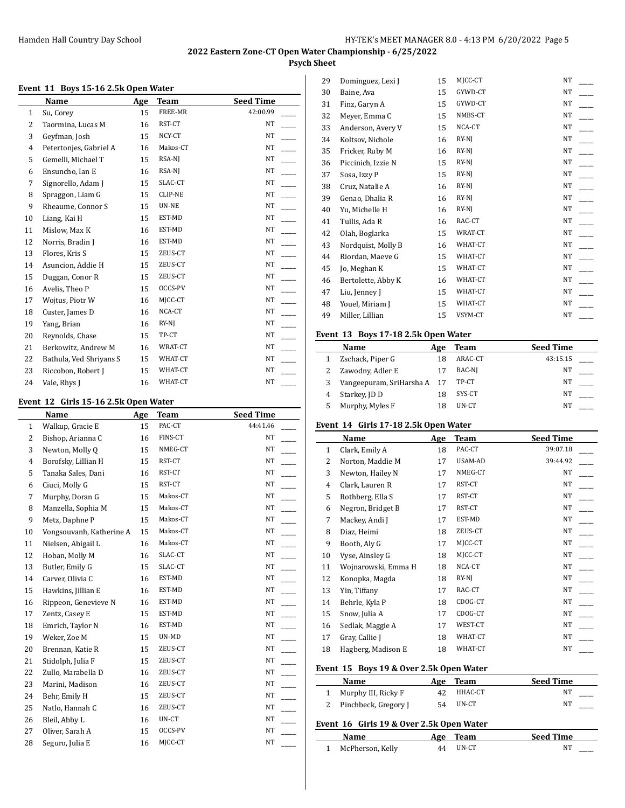# **Psych Sheet**

#### **Event 11 Boys 15-16 2.5k Open Water**

|    | Name                    | Age | <b>Team</b>    | <b>Seed Time</b> |  |
|----|-------------------------|-----|----------------|------------------|--|
| 1  | Su, Corey               | 15  | FREE-MR        | 42:00.99         |  |
| 2  | Taormina, Lucas M       | 16  | RST-CT         | <b>NT</b>        |  |
| 3  | Geyfman, Josh           | 15  | NCY-CT         | NT               |  |
| 4  | Petertonjes, Gabriel A  | 16  | Makos-CT       | <b>NT</b>        |  |
| 5  | Gemelli, Michael T      | 15  | RSA-NJ         | NT               |  |
| 6  | Ensuncho, Ian E         | 16  | RSA-NJ         | NT               |  |
| 7  | Signorello, Adam J      | 15  | SLAC-CT        | NT               |  |
| 8  | Spraggon, Liam G        | 15  | <b>CLIP-NE</b> | <b>NT</b>        |  |
| 9  | Rheaume, Connor S       | 15  | UN-NE          | NT               |  |
| 10 | Liang, Kai H            | 15  | EST-MD         | <b>NT</b>        |  |
| 11 | Mislow, Max K           | 16  | EST-MD         | NT               |  |
| 12 | Norris, Bradin J        | 16  | EST-MD         | NT               |  |
| 13 | Flores, Kris S          | 15  | ZEUS-CT        | NT               |  |
| 14 | Asuncion, Addie H       | 15  | ZEUS-CT        | NT               |  |
| 15 | Duggan, Conor R         | 15  | ZEUS-CT        | <b>NT</b>        |  |
| 16 | Avelis, Theo P          | 15  | OCCS-PV        | NT               |  |
| 17 | Wojtus, Piotr W         | 16  | MJCC-CT        | NT               |  |
| 18 | Custer, James D         | 16  | NCA-CT         | NT               |  |
| 19 | Yang, Brian             | 16  | $RY-NJ$        | NT               |  |
| 20 | Reynolds, Chase         | 15  | TP-CT          | NT               |  |
| 21 | Berkowitz, Andrew M     | 16  | WRAT-CT        | NT               |  |
| 22 | Bathula, Ved Shriyans S | 15  | WHAT-CT        | NT               |  |
| 23 | Riccobon, Robert J      | 15  | WHAT-CT        | NT               |  |
| 24 | Vale, Rhys J            | 16  | WHAT-CT        | NT               |  |

#### **Event 12 Girls 15-16 2.5k Open Water**

 $\overline{a}$ 

|                | Name                     | Age | <b>Team</b> | <b>Seed Time</b> |  |
|----------------|--------------------------|-----|-------------|------------------|--|
| $\mathbf{1}$   | Walkup, Gracie E         | 15  | PAC-CT      | 44:41.46         |  |
| 2              | Bishop, Arianna C        | 16  | FINS-CT     | NT               |  |
| 3              | Newton, Molly Q          | 15  | NMEG-CT     | NT               |  |
| $\overline{4}$ | Borofsky, Lillian H      | 15  | RST-CT      | NT               |  |
| 5              | Tanaka Sales, Dani       | 16  | RST-CT      | NT               |  |
| 6              | Ciuci, Molly G           | 15  | RST-CT      | NT               |  |
| 7              | Murphy, Doran G          | 15  | Makos-CT    | NT               |  |
| 8              | Manzella, Sophia M       | 15  | Makos-CT    | NT               |  |
| 9              | Metz, Daphne P           | 15  | Makos-CT    | NT               |  |
| 10             | Vongsouvanh, Katherine A | 15  | Makos-CT    | NT               |  |
| 11             | Nielsen, Abigail L       | 16  | Makos-CT    | NT               |  |
| 12             | Hoban, Molly M           | 16  | SLAC-CT     | NT               |  |
| 13             | Butler, Emily G          | 15  | SLAC-CT     | NT               |  |
| 14             | Carver, Olivia C         | 16  | EST-MD      | NT               |  |
| 15             | Hawkins, Jillian E       | 16  | EST-MD      | NT               |  |
| 16             | Rippeon, Genevieve N     | 16  | EST-MD      | NT               |  |
| 17             | Zentz, Casey E           | 15  | EST-MD      | NT               |  |
| 18             | Emrich, Taylor N         | 16  | EST-MD      | NT               |  |
| 19             | Weker, Zoe M             | 15  | UN-MD       | NT               |  |
| 20             | Brennan, Katie R         | 15  | ZEUS-CT     | $_{\rm NT}$      |  |
| 21             | Stidolph, Julia F        | 15  | ZEUS-CT     | NT               |  |
| 22             | Zullo, Marabella D       | 16  | ZEUS-CT     | NT               |  |
| 23             | Marini, Madison          | 16  | ZEUS-CT     | NT               |  |
| 24             | Behr, Emily H            | 15  | ZEUS-CT     | NT               |  |
| 25             | Natlo, Hannah C          | 16  | ZEUS-CT     | NT               |  |
| 26             | Bleil, Abby L            | 16  | UN-CT       | NT               |  |
| 27             | Oliver, Sarah A          | 15  | OCCS-PV     | NT               |  |
| 28             | Seguro, Julia E          | 16  | MJCC-CT     | NT               |  |

| 29 | Dominguez, Lexi J  | 15 | MJCC-CT | NΤ        |  |
|----|--------------------|----|---------|-----------|--|
| 30 | Baine, Ava         | 15 | GYWD-CT | NT        |  |
| 31 | Finz, Garyn A      | 15 | GYWD-CT | <b>NT</b> |  |
| 32 | Meyer, Emma C      | 15 | NMBS-CT | NT        |  |
| 33 | Anderson, Avery V  | 15 | NCA-CT  | NT        |  |
| 34 | Koltsov, Nichole   | 16 | RY-NJ   | NT        |  |
| 35 | Fricker, Ruby M    | 16 | RY-NJ   | NT        |  |
| 36 | Piccinich, Izzie N | 15 | RY-NJ   | NT        |  |
| 37 | Sosa, Izzy P       | 15 | $RY-NJ$ | NT        |  |
| 38 | Cruz, Natalie A    | 16 | RY-NJ   | NT        |  |
| 39 | Genao, Dhalia R    | 16 | RY-NJ   | NT        |  |
| 40 | Yu, Michelle H     | 16 | RY-NJ   | NT        |  |
| 41 | Tullis, Ada R      | 16 | RAC-CT  | NT        |  |
| 42 | Olah, Boglarka     | 15 | WRAT-CT | $\rm{NT}$ |  |
| 43 | Nordquist, Molly B | 16 | WHAT-CT | NT        |  |
| 44 | Riordan, Maeve G   | 15 | WHAT-CT | NT        |  |
| 45 | Jo, Meghan K       | 15 | WHAT-CT | <b>NT</b> |  |
| 46 | Bertolette, Abby K | 16 | WHAT-CT | NT        |  |
| 47 | Liu, Jenney J      | 15 | WHAT-CT | NT        |  |
| 48 | Youel, Miriam J    | 15 | WHAT-CT | NT        |  |
| 49 | Miller, Lillian    | 15 | VSYM-CT | <b>NT</b> |  |
|    |                    |    |         |           |  |

#### **Event 13 Boys 17-18 2.5k Open Water**

| <b>Name</b>              | Age | Team    | <b>Seed Time</b> |
|--------------------------|-----|---------|------------------|
| Zschack, Piper G         | 18  | ARAC-CT | 43:15.15         |
| Zawodny, Adler E         | 17  | BAC-NJ  | NΤ               |
| Vangeepuram, SriHarsha A | 17  | TP-CT   | NΤ               |
| Starkey, JD D            | 18  | SYS-CT  | NΤ               |
| Murphy, Myles F          | 18  | UN-CT   | NT               |

#### **Event 14 Girls 17-18 2.5k Open Water**

|    | Name                | Age | <b>Team</b> | <b>Seed Time</b> |
|----|---------------------|-----|-------------|------------------|
| 1  | Clark, Emily A      | 18  | PAC-CT      | 39:07.18         |
| 2  | Norton, Maddie M    | 17  | USAM-AD     | 39:44.92         |
| 3  | Newton, Hailey N    | 17  | NMEG-CT     | NT               |
| 4  | Clark, Lauren R     | 17  | RST-CT      | NT               |
| 5  | Rothberg, Ella S    | 17  | RST-CT      | NT               |
| 6  | Negron, Bridget B   | 17  | RST-CT      | NT               |
| 7  | Mackey, Andi J      | 17  | EST-MD      | NT               |
| 8  | Diaz, Heimi         | 18  | ZEUS-CT     | NT               |
| 9  | Booth, Aly G        | 17  | MJCC-CT     | NT               |
| 10 | Vyse, Ainsley G     | 18  | MJCC-CT     | NT               |
| 11 | Wojnarowski, Emma H | 18  | NCA-CT      | NT               |
| 12 | Konopka, Magda      | 18  | RY-NJ       | NT               |
| 13 | Yin, Tiffany        | 17  | RAC-CT      | NT               |
| 14 | Behrle, Kyla P      | 18  | CDOG-CT     | NT               |
| 15 | Snow, Julia A       | 17  | CDOG-CT     | NT               |
| 16 | Sedlak, Maggie A    | 17  | WEST-CT     | NT               |
| 17 | Gray, Callie J      | 18  | WHAT-CT     | NT               |
| 18 | Hagberg, Madison E  | 18  | WHAT-CT     | NT               |

## **Event 15 Boys 19 & Over 2.5k Open Water**

l,

| <b>Name</b>            | Age | Team    | <b>Seed Time</b> |
|------------------------|-----|---------|------------------|
| Murphy III, Ricky F    | 42  | HHAC-CT | NT               |
| 2 Pinchbeck, Gregory J | 54  | UN-CT   | NΤ               |

### **Event 16 Girls 19 & Over 2.5k Open Water**

| Name               |    | Age Team | <b>Seed Time</b> |
|--------------------|----|----------|------------------|
| 1 McPherson, Kelly | 44 | UN-CT    |                  |